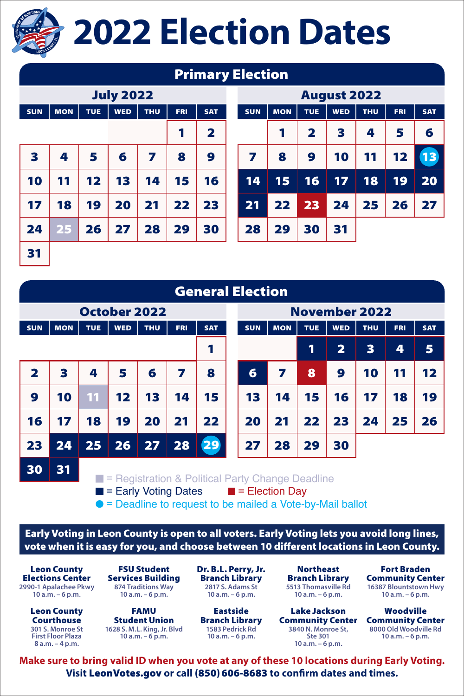

## **2022 Election Dates**

|                  |            |            |            |            |            | <b>Primary Election</b> |  |                    |            |                         |            |            |            |            |  |  |
|------------------|------------|------------|------------|------------|------------|-------------------------|--|--------------------|------------|-------------------------|------------|------------|------------|------------|--|--|
| <b>July 2022</b> |            |            |            |            |            |                         |  | <b>August 2022</b> |            |                         |            |            |            |            |  |  |
| <b>SUN</b>       | <b>MON</b> | <b>TUE</b> | <b>WED</b> | <b>THU</b> | <b>FRI</b> | <b>SAT</b>              |  | <b>SUN</b>         | <b>MON</b> | <b>TUE</b>              | <b>WED</b> | <b>THU</b> | <b>FRI</b> | <b>SAT</b> |  |  |
|                  |            |            |            |            | 1          | $\mathbf{2}$            |  |                    | 1          | $\overline{\mathbf{2}}$ | 3          | 4          | 5          | 6          |  |  |
| 3                | 4          | 5          | 6          | 7          | 8          | 9                       |  | 7                  | 8          | 9                       | 10         | 11         | 12         | 13         |  |  |
| 10               | 11         | 12         | 13         | 14         | 15         | 16                      |  | 14                 | 15         | 16                      | 17         | 18         | 19         | 20         |  |  |
| 17               | 18         | 19         | 20         | 21         | 22         | 23                      |  | 21                 | 22         | 23                      | 24         | 25         | 26         | 27         |  |  |
| 24               | 25         | 26         | 27         | 28         | 29         | 30                      |  | 28                 | 29         | 30                      | 31         |            |            |            |  |  |
| 31               |            |            |            |            |            |                         |  |                    |            |                         |            |            |            |            |  |  |

| <b>General Election</b>                                                                                         |                     |            |                    |             |            |            |  |            |                      |            |              |            |            |            |  |  |  |
|-----------------------------------------------------------------------------------------------------------------|---------------------|------------|--------------------|-------------|------------|------------|--|------------|----------------------|------------|--------------|------------|------------|------------|--|--|--|
|                                                                                                                 | <b>October 2022</b> |            |                    |             |            |            |  |            | <b>November 2022</b> |            |              |            |            |            |  |  |  |
| <b>SUN</b>                                                                                                      | <b>MON</b>          | <b>TUE</b> | <b>WED</b>         | <b>THU</b>  | <b>FRI</b> | <b>SAT</b> |  | <b>SUN</b> | <b>MON</b>           | <b>TUE</b> | <b>WED</b>   | <b>THU</b> | <b>FRI</b> | <b>SAT</b> |  |  |  |
|                                                                                                                 |                     |            |                    |             |            |            |  |            |                      | 1          | $\mathbf{2}$ | 3          | 4          | 5          |  |  |  |
| $\mathbf{2}$                                                                                                    | 3                   | 4          | 5                  | 6           | 7          | 8          |  | 6          | 7                    | 8          | 9            | 10         | 11         | 12         |  |  |  |
| 9                                                                                                               | 10                  | 11         | $12 \ \varepsilon$ | 13          | 14         | 15         |  | 13         | 14                   | 15         | 16           | 17         | 18         | 19         |  |  |  |
| 16                                                                                                              | 17                  | 18         | 19                 | 20          | 21         | 22         |  | 20         | 21                   | 22         | 23           | 24         | 25         | 26         |  |  |  |
| 23                                                                                                              | 24                  | 25         | 26                 | $\sqrt{27}$ | 28         | 29         |  | 27         | 28                   | 29         | 30           |            |            |            |  |  |  |
| 30                                                                                                              | 31                  |            |                    |             |            |            |  |            |                      |            |              |            |            |            |  |  |  |
| $\blacksquare$ = Registration & Political Party Change Deadline<br>Factor Matthew Data and Hills Flasting David |                     |            |                    |             |            |            |  |            |                      |            |              |            |            |            |  |  |  |

 $\blacksquare$  = Early Voting Dates  $\blacksquare$  = Election Day  $\bullet$  = Deadline to request to be mailed a Vote-by-Mail ballot

Early Voting in Leon County is open to all voters. Early Voting lets you avoid long lines, vote when it is easy for you, and choose between 10 different locations in Leon County.

Leon County Elections Center **2990-1 Apalachee Pkwy 10 a.m. – 6 p.m.**

> Leon County Courthouse **301 S. Monroe St First Floor Plaza 8 a.m. – 4 p.m.**

FSU Student Services Building **874 Traditions Way 10 a.m. – 6 p.m.**

FAMU Student Union **1628 S. M.L. King, Jr. Blvd 10 a.m. – 6 p.m.**

Dr. B.L. Perry, Jr. Branch Library **2817 S. Adams St 10 a.m. – 6 p.m.**

Eastside Branch Library **1583 Pedrick Rd 10 a.m. – 6 p.m.**

**Northeast** Branch Library **10 a.m. – 6 p.m.**

Lake Jackson **3840 N. Monroe St, Ste 301 10 a.m. – 6 p.m.**

**5513 Thomasville Rd 16387 Blountstown Hwy** Fort Braden Community Center **10 a.m. – 6 p.m.**

Community Center Community Center Woodville **8000 Old Woodville Rd 10 a.m. – 6 p.m.**

**Make sure to bring valid ID when you vote at any of these 10 locations during Early Voting. Visit** LeonVotes.gov **or call** (850)606-8683 **to confirm dates and times.**